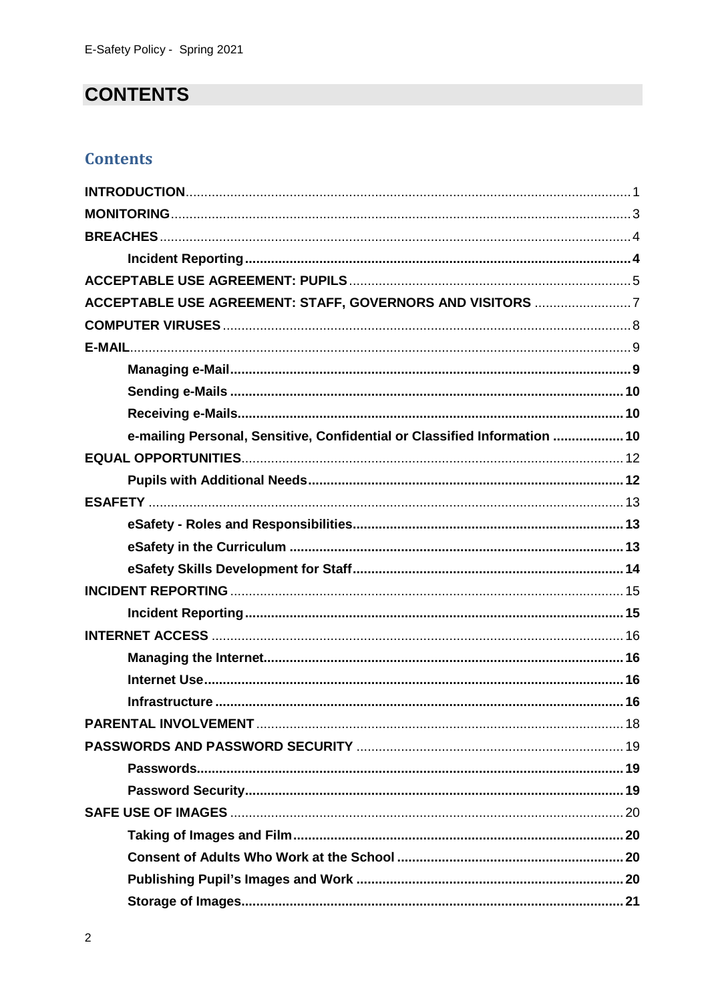# **CONTENTS**

## **Contents**

| ACCEPTABLE USE AGREEMENT: STAFF, GOVERNORS AND VISITORS 7                 |  |
|---------------------------------------------------------------------------|--|
|                                                                           |  |
|                                                                           |  |
|                                                                           |  |
|                                                                           |  |
|                                                                           |  |
| e-mailing Personal, Sensitive, Confidential or Classified Information  10 |  |
|                                                                           |  |
|                                                                           |  |
|                                                                           |  |
|                                                                           |  |
|                                                                           |  |
|                                                                           |  |
|                                                                           |  |
|                                                                           |  |
|                                                                           |  |
|                                                                           |  |
|                                                                           |  |
|                                                                           |  |
|                                                                           |  |
|                                                                           |  |
|                                                                           |  |
|                                                                           |  |
|                                                                           |  |
|                                                                           |  |
|                                                                           |  |
|                                                                           |  |
|                                                                           |  |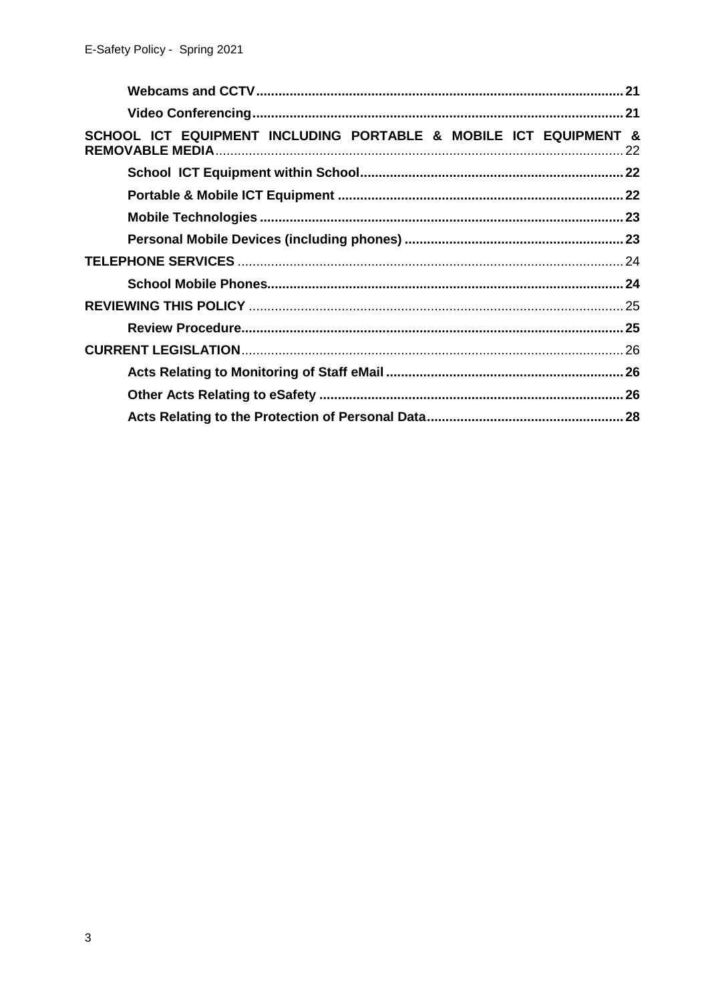| SCHOOL ICT EQUIPMENT INCLUDING PORTABLE & MOBILE ICT EQUIPMENT & |  |
|------------------------------------------------------------------|--|
|                                                                  |  |
|                                                                  |  |
|                                                                  |  |
|                                                                  |  |
|                                                                  |  |
|                                                                  |  |
|                                                                  |  |
|                                                                  |  |
|                                                                  |  |
|                                                                  |  |
|                                                                  |  |
|                                                                  |  |
|                                                                  |  |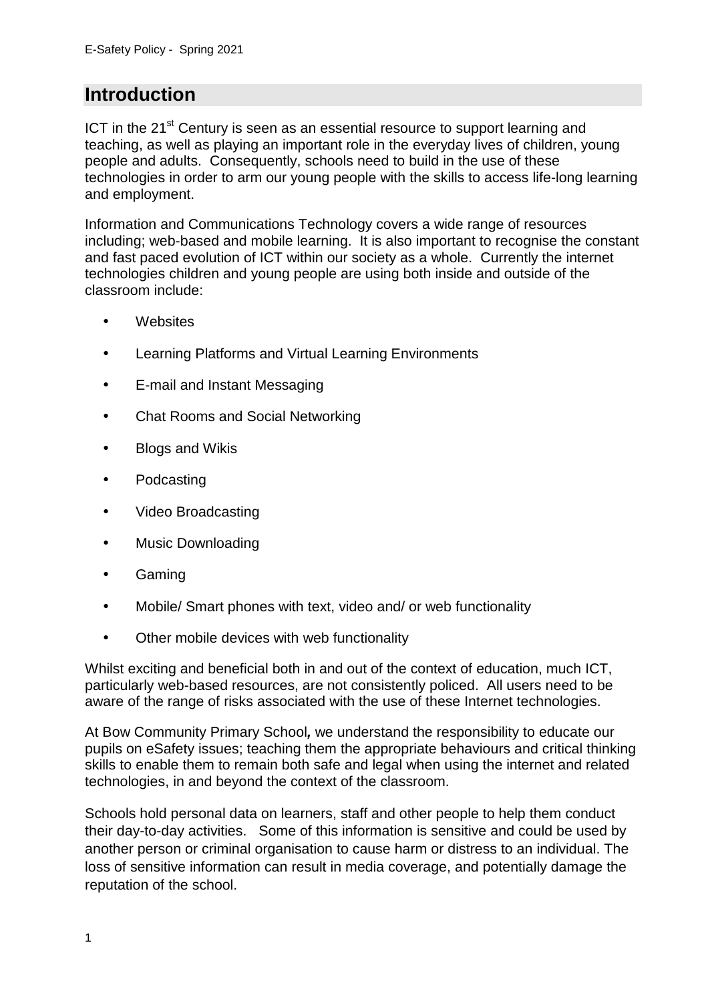# **Introduction**

ICT in the 21<sup>st</sup> Century is seen as an essential resource to support learning and teaching, as well as playing an important role in the everyday lives of children, young people and adults. Consequently, schools need to build in the use of these technologies in order to arm our young people with the skills to access life-long learning and employment.

Information and Communications Technology covers a wide range of resources including; web-based and mobile learning. It is also important to recognise the constant and fast paced evolution of ICT within our society as a whole. Currently the internet technologies children and young people are using both inside and outside of the classroom include:

- **Websites**
- Learning Platforms and Virtual Learning Environments
- E-mail and Instant Messaging
- Chat Rooms and Social Networking
- Blogs and Wikis
- Podcasting
- Video Broadcasting
- Music Downloading
- Gaming
- Mobile/ Smart phones with text, video and/ or web functionality
- Other mobile devices with web functionality

Whilst exciting and beneficial both in and out of the context of education, much ICT, particularly web-based resources, are not consistently policed. All users need to be aware of the range of risks associated with the use of these Internet technologies.

At Bow Community Primary School**,** we understand the responsibility to educate our pupils on eSafety issues; teaching them the appropriate behaviours and critical thinking skills to enable them to remain both safe and legal when using the internet and related technologies, in and beyond the context of the classroom.

Schools hold personal data on learners, staff and other people to help them conduct their day-to-day activities. Some of this information is sensitive and could be used by another person or criminal organisation to cause harm or distress to an individual. The loss of sensitive information can result in media coverage, and potentially damage the reputation of the school.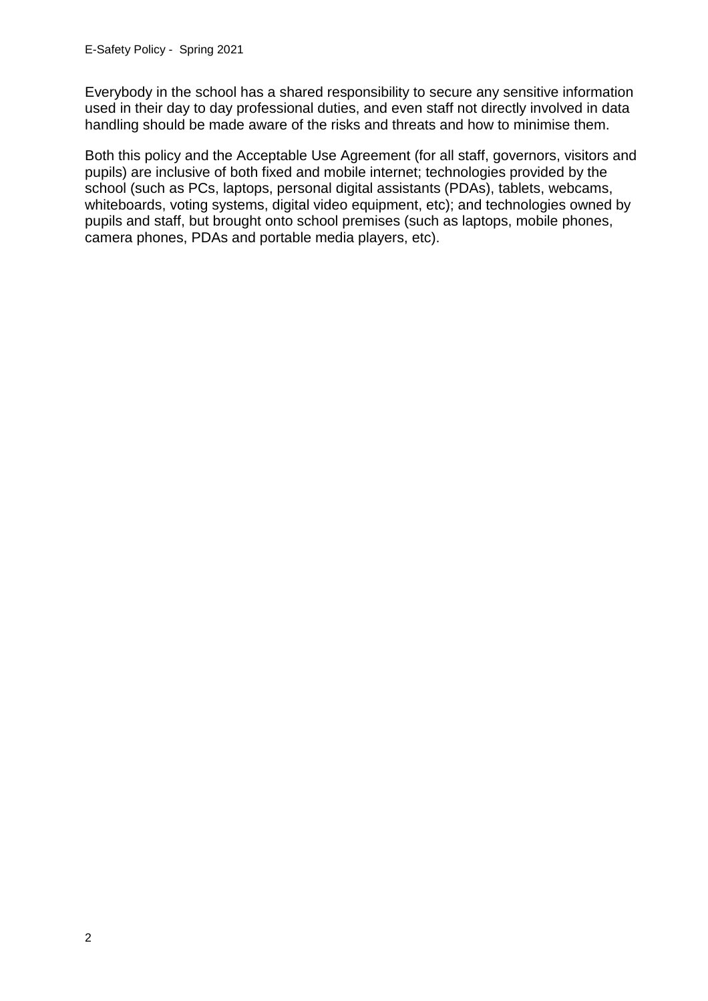Everybody in the school has a shared responsibility to secure any sensitive information used in their day to day professional duties, and even staff not directly involved in data handling should be made aware of the risks and threats and how to minimise them.

Both this policy and the Acceptable Use Agreement (for all staff, governors, visitors and pupils) are inclusive of both fixed and mobile internet; technologies provided by the school (such as PCs, laptops, personal digital assistants (PDAs), tablets, webcams, whiteboards, voting systems, digital video equipment, etc); and technologies owned by pupils and staff, but brought onto school premises (such as laptops, mobile phones, camera phones, PDAs and portable media players, etc).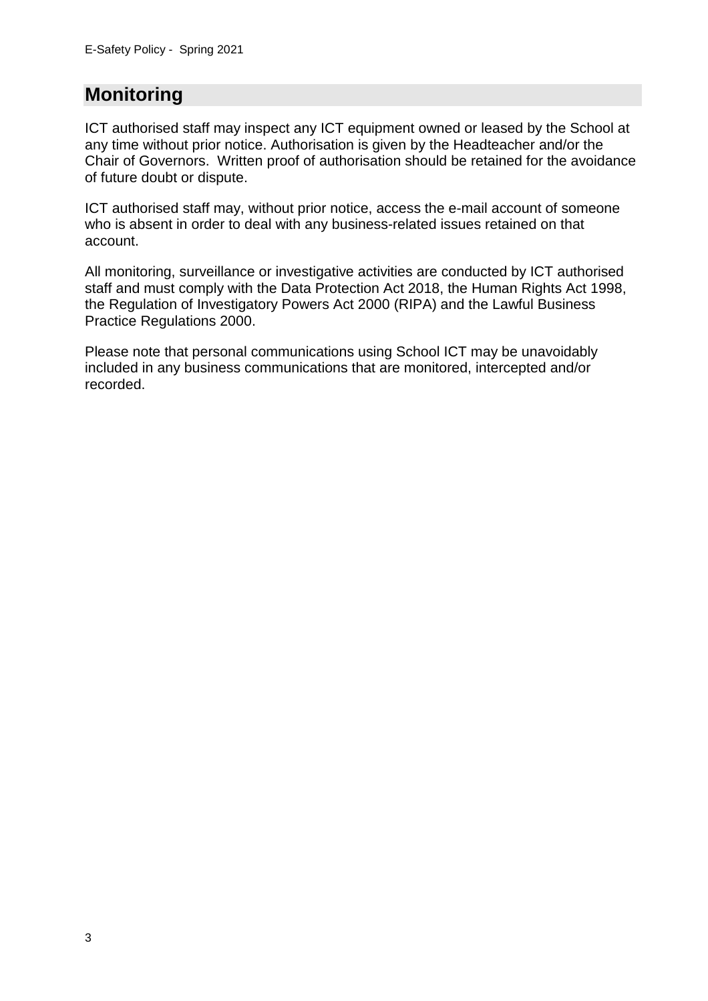# **Monitoring**

ICT authorised staff may inspect any ICT equipment owned or leased by the School at any time without prior notice. Authorisation is given by the Headteacher and/or the Chair of Governors. Written proof of authorisation should be retained for the avoidance of future doubt or dispute.

ICT authorised staff may, without prior notice, access the e-mail account of someone who is absent in order to deal with any business-related issues retained on that account.

All monitoring, surveillance or investigative activities are conducted by ICT authorised staff and must comply with the Data Protection Act 2018, the Human Rights Act 1998, the Regulation of Investigatory Powers Act 2000 (RIPA) and the Lawful Business Practice Regulations 2000.

Please note that personal communications using School ICT may be unavoidably included in any business communications that are monitored, intercepted and/or recorded.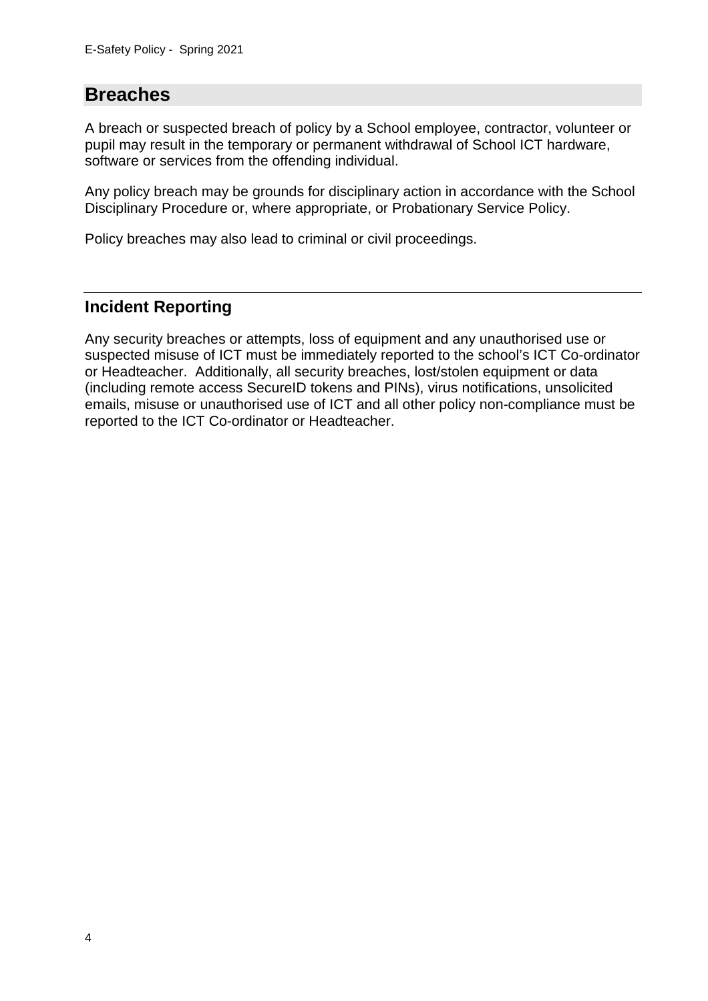## **Breaches**

A breach or suspected breach of policy by a School employee, contractor, volunteer or pupil may result in the temporary or permanent withdrawal of School ICT hardware, software or services from the offending individual.

Any policy breach may be grounds for disciplinary action in accordance with the School Disciplinary Procedure or, where appropriate, or Probationary Service Policy.

Policy breaches may also lead to criminal or civil proceedings.

## **Incident Reporting**

Any security breaches or attempts, loss of equipment and any unauthorised use or suspected misuse of ICT must be immediately reported to the school's ICT Co-ordinator or Headteacher. Additionally, all security breaches, lost/stolen equipment or data (including remote access SecureID tokens and PINs), virus notifications, unsolicited emails, misuse or unauthorised use of ICT and all other policy non-compliance must be reported to the ICT Co-ordinator or Headteacher.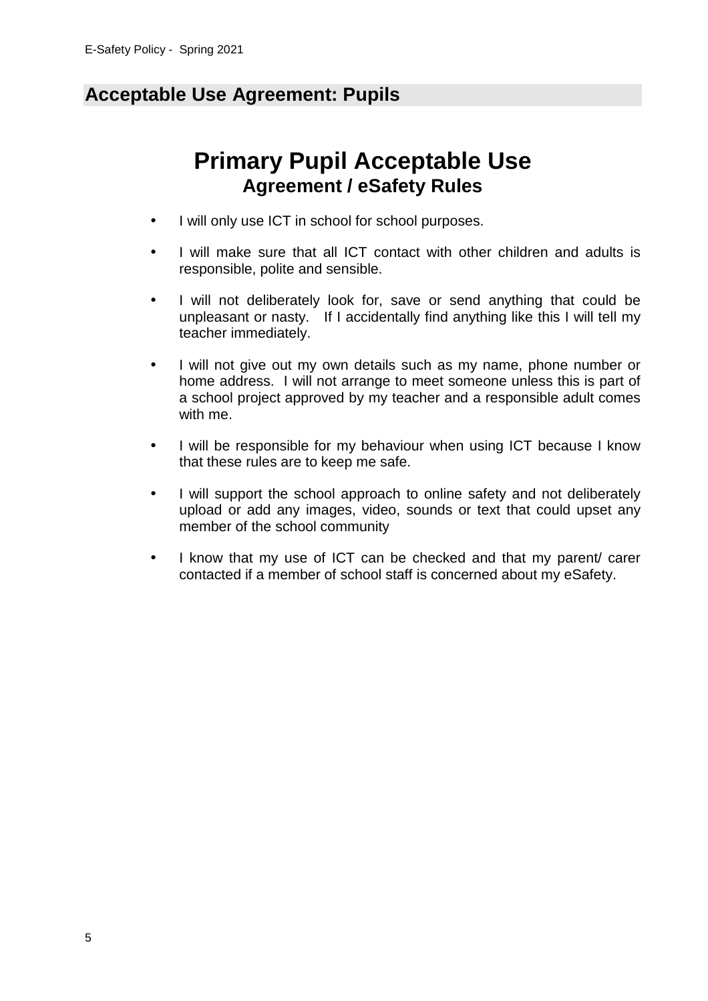# **Acceptable Use Agreement: Pupils**

# **Primary Pupil Acceptable Use Agreement / eSafety Rules**

- I will only use ICT in school for school purposes.
- I will make sure that all ICT contact with other children and adults is responsible, polite and sensible.
- I will not deliberately look for, save or send anything that could be unpleasant or nasty. If I accidentally find anything like this I will tell my teacher immediately.
- I will not give out my own details such as my name, phone number or home address. I will not arrange to meet someone unless this is part of a school project approved by my teacher and a responsible adult comes with me.
- I will be responsible for my behaviour when using ICT because I know that these rules are to keep me safe.
- I will support the school approach to online safety and not deliberately upload or add any images, video, sounds or text that could upset any member of the school community
- I know that my use of ICT can be checked and that my parent/ carer contacted if a member of school staff is concerned about my eSafety.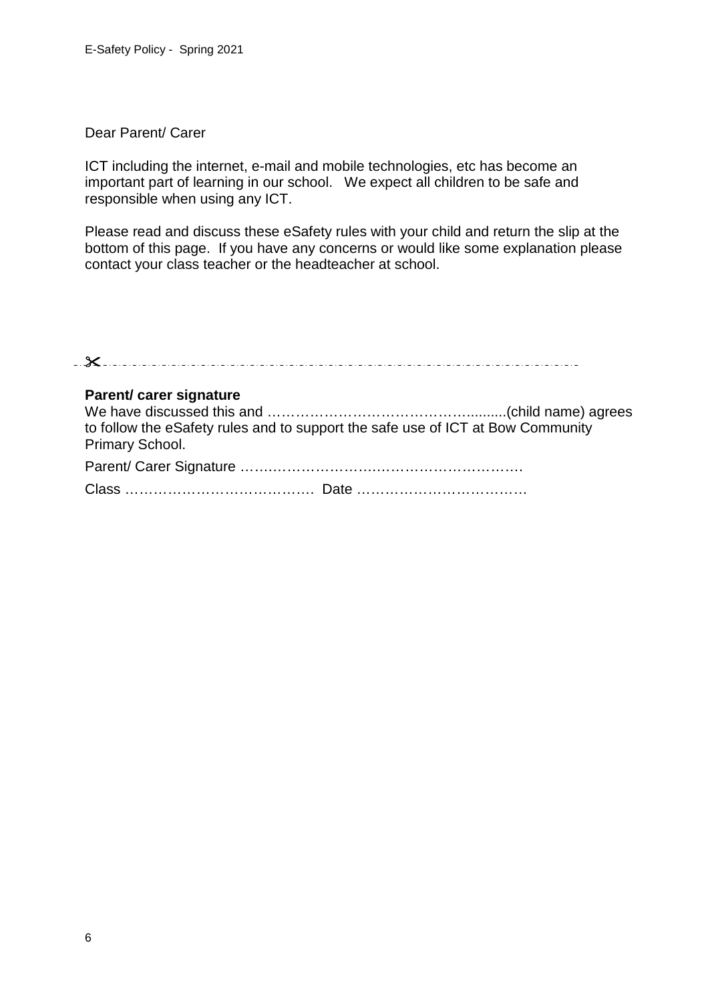#### Dear Parent/ Carer

ICT including the internet, e-mail and mobile technologies, etc has become an important part of learning in our school. We expect all children to be safe and responsible when using any ICT.

Please read and discuss these eSafety rules with your child and return the slip at the bottom of this page. If you have any concerns or would like some explanation please contact your class teacher or the headteacher at school.

| Parent/ carer signature<br>to follow the eSafety rules and to support the safe use of ICT at Bow Community<br><b>Primary School.</b> |  |
|--------------------------------------------------------------------------------------------------------------------------------------|--|
|                                                                                                                                      |  |
|                                                                                                                                      |  |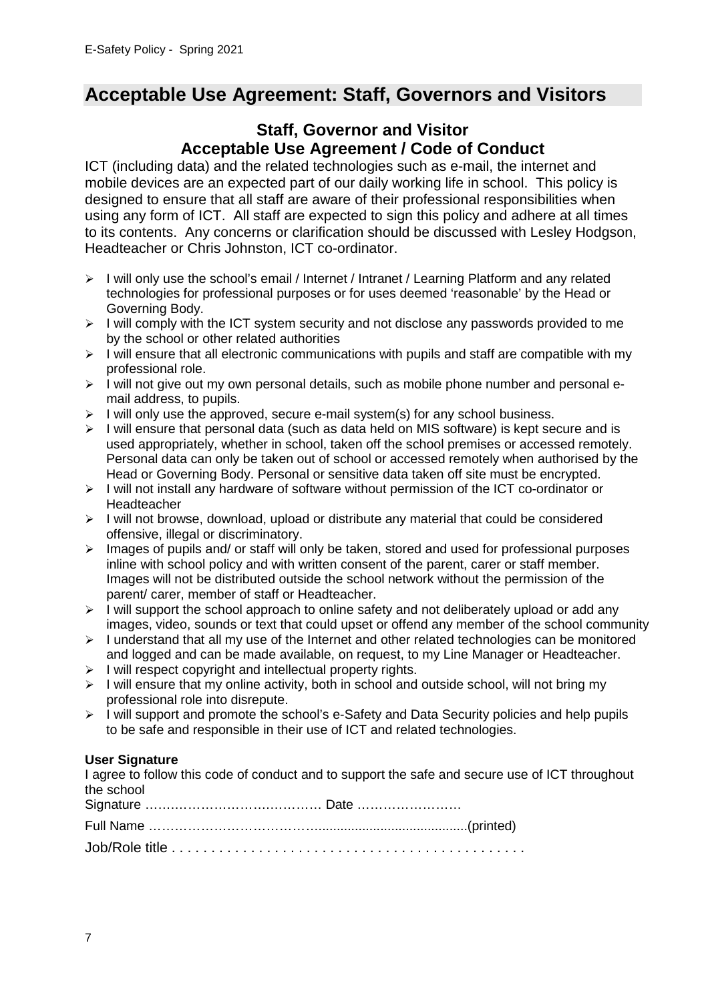## **Acceptable Use Agreement: Staff, Governors and Visitors**

## **Staff, Governor and Visitor Acceptable Use Agreement / Code of Conduct**

ICT (including data) and the related technologies such as e-mail, the internet and mobile devices are an expected part of our daily working life in school. This policy is designed to ensure that all staff are aware of their professional responsibilities when using any form of ICT. All staff are expected to sign this policy and adhere at all times to its contents. Any concerns or clarification should be discussed with Lesley Hodgson, Headteacher or Chris Johnston, ICT co-ordinator.

- > I will only use the school's email / Internet / Intranet / Learning Platform and any related technologies for professional purposes or for uses deemed 'reasonable' by the Head or Governing Body.
- > I will comply with the ICT system security and not disclose any passwords provided to me by the school or other related authorities
- > I will ensure that all electronic communications with pupils and staff are compatible with my professional role.
- > I will not give out my own personal details, such as mobile phone number and personal email address, to pupils.
- $\triangleright$  I will only use the approved, secure e-mail system(s) for any school business.
- > I will ensure that personal data (such as data held on MIS software) is kept secure and is used appropriately, whether in school, taken off the school premises or accessed remotely. Personal data can only be taken out of school or accessed remotely when authorised by the Head or Governing Body. Personal or sensitive data taken off site must be encrypted.
- > I will not install any hardware of software without permission of the ICT co-ordinator or Headteacher
- > I will not browse, download, upload or distribute any material that could be considered offensive, illegal or discriminatory.
- > Images of pupils and/ or staff will only be taken, stored and used for professional purposes inline with school policy and with written consent of the parent, carer or staff member. Images will not be distributed outside the school network without the permission of the parent/ carer, member of staff or Headteacher.
- > I will support the school approach to online safety and not deliberately upload or add any images, video, sounds or text that could upset or offend any member of the school community
- > I understand that all my use of the Internet and other related technologies can be monitored and logged and can be made available, on request, to my Line Manager or Headteacher.
- > I will respect copyright and intellectual property rights.
- > I will ensure that my online activity, both in school and outside school, will not bring my professional role into disrepute.
- > I will support and promote the school's e-Safety and Data Security policies and help pupils to be safe and responsible in their use of ICT and related technologies.

#### **User Signature**

I agree to follow this code of conduct and to support the safe and secure use of ICT throughout the school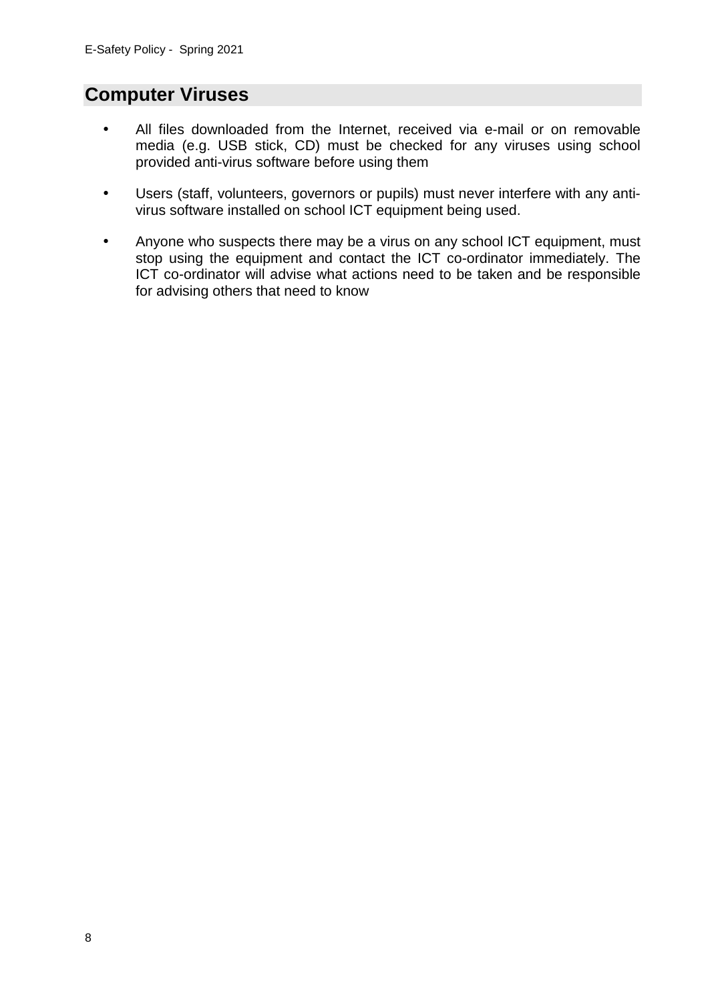# **Computer Viruses**

- All files downloaded from the Internet, received via e-mail or on removable media (e.g. USB stick, CD) must be checked for any viruses using school provided anti-virus software before using them
- Users (staff, volunteers, governors or pupils) must never interfere with any antivirus software installed on school ICT equipment being used.
- Anyone who suspects there may be a virus on any school ICT equipment, must stop using the equipment and contact the ICT co-ordinator immediately. The ICT co-ordinator will advise what actions need to be taken and be responsible for advising others that need to know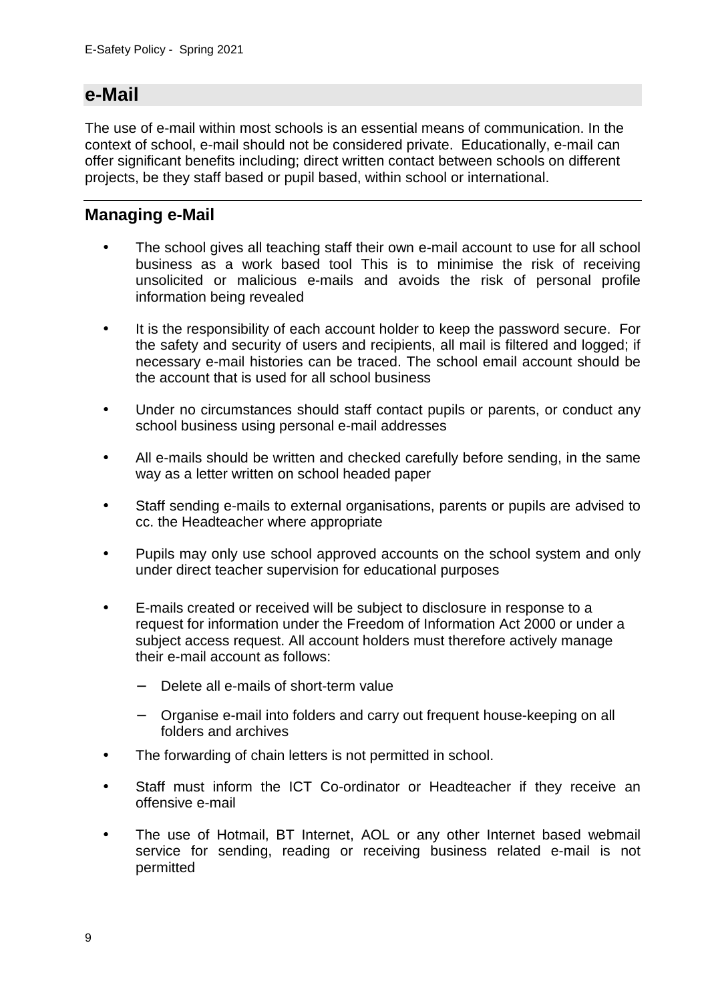## **e-Mail**

The use of e-mail within most schools is an essential means of communication. In the context of school, e-mail should not be considered private. Educationally, e-mail can offer significant benefits including; direct written contact between schools on different projects, be they staff based or pupil based, within school or international.

## **Managing e-Mail**

- The school gives all teaching staff their own e-mail account to use for all school business as a work based tool This is to minimise the risk of receiving unsolicited or malicious e-mails and avoids the risk of personal profile information being revealed
- It is the responsibility of each account holder to keep the password secure. For the safety and security of users and recipients, all mail is filtered and logged; if necessary e-mail histories can be traced. The school email account should be the account that is used for all school business
- Under no circumstances should staff contact pupils or parents, or conduct any school business using personal e-mail addresses
- All e-mails should be written and checked carefully before sending, in the same way as a letter written on school headed paper
- Staff sending e-mails to external organisations, parents or pupils are advised to cc. the Headteacher where appropriate
- Pupils may only use school approved accounts on the school system and only under direct teacher supervision for educational purposes
- E-mails created or received will be subject to disclosure in response to a request for information under the Freedom of Information Act 2000 or under a subject access request. All account holders must therefore actively manage their e-mail account as follows:
	- Delete all e-mails of short-term value
	- − Organise e-mail into folders and carry out frequent house-keeping on all folders and archives
- The forwarding of chain letters is not permitted in school.
- Staff must inform the ICT Co-ordinator or Headteacher if they receive an offensive e-mail
- The use of Hotmail, BT Internet, AOL or any other Internet based webmail service for sending, reading or receiving business related e-mail is not permitted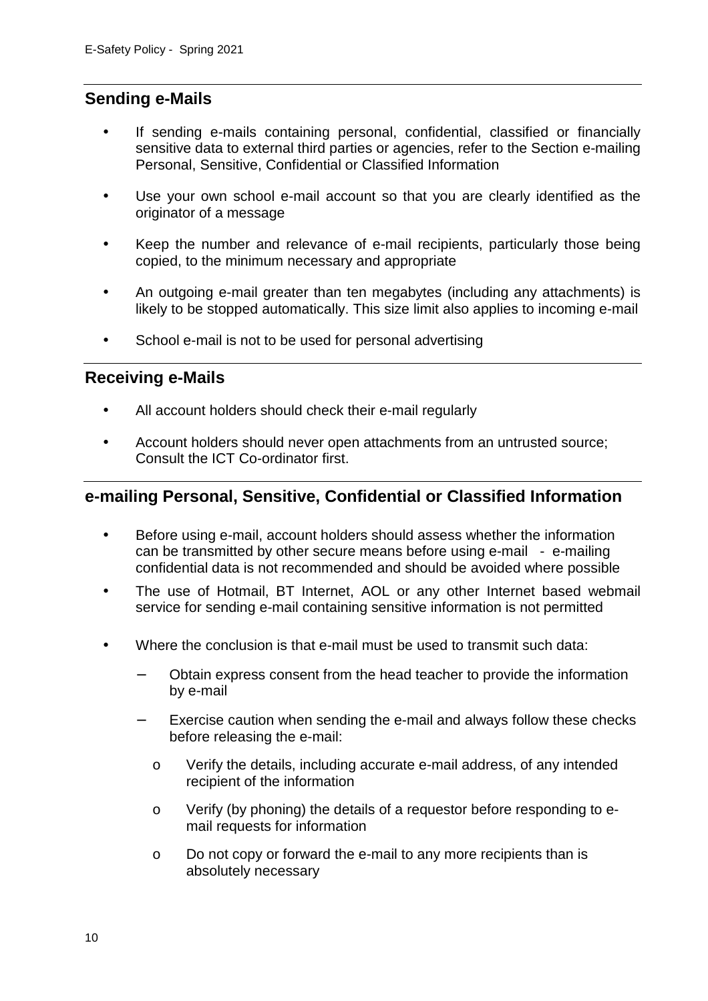### **Sending e-Mails**

- If sending e-mails containing personal, confidential, classified or financially sensitive data to external third parties or agencies, refer to the Section e-mailing Personal, Sensitive, Confidential or Classified Information
- Use your own school e-mail account so that you are clearly identified as the originator of a message
- Keep the number and relevance of e-mail recipients, particularly those being copied, to the minimum necessary and appropriate
- An outgoing e-mail greater than ten megabytes (including any attachments) is likely to be stopped automatically. This size limit also applies to incoming e-mail
- School e-mail is not to be used for personal advertising

### **Receiving e-Mails**

- All account holders should check their e-mail regularly
- Account holders should never open attachments from an untrusted source; Consult the ICT Co-ordinator first.

### **e-mailing Personal, Sensitive, Confidential or Classified Information**

- Before using e-mail, account holders should assess whether the information can be transmitted by other secure means before using e-mail - e-mailing confidential data is not recommended and should be avoided where possible
- The use of Hotmail, BT Internet, AOL or any other Internet based webmail service for sending e-mail containing sensitive information is not permitted
- Where the conclusion is that e-mail must be used to transmit such data:
	- − Obtain express consent from the head teacher to provide the information by e-mail
	- Exercise caution when sending the e-mail and always follow these checks before releasing the e-mail:
		- o Verify the details, including accurate e-mail address, of any intended recipient of the information
		- o Verify (by phoning) the details of a requestor before responding to email requests for information
		- o Do not copy or forward the e-mail to any more recipients than is absolutely necessary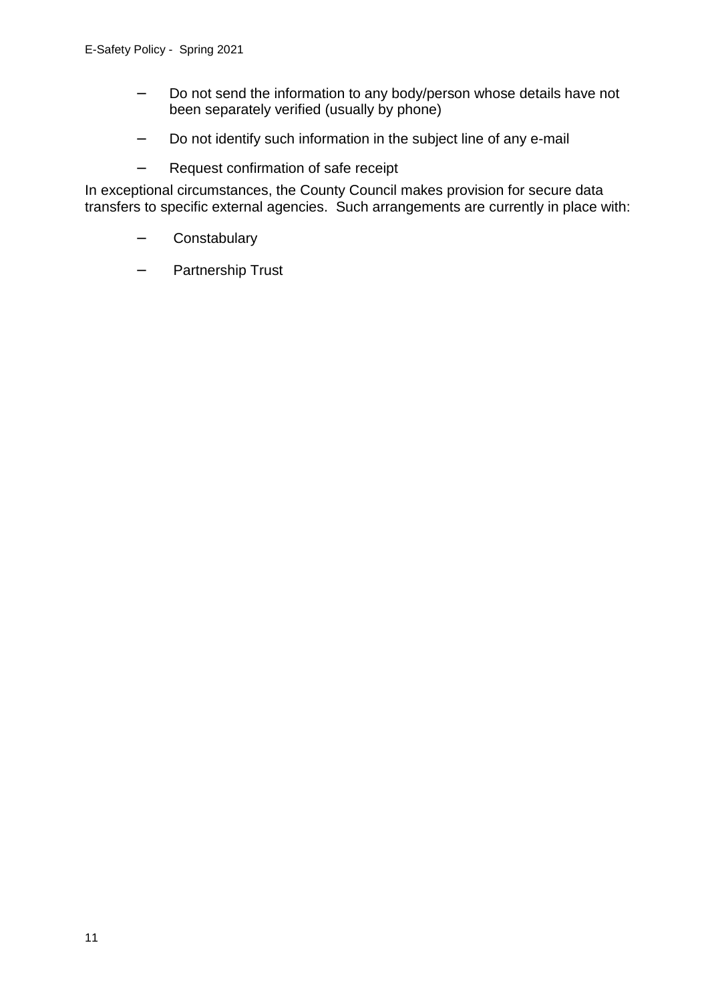- − Do not send the information to any body/person whose details have not been separately verified (usually by phone)
- − Do not identify such information in the subject line of any e-mail
- − Request confirmation of safe receipt

In exceptional circumstances, the County Council makes provision for secure data transfers to specific external agencies. Such arrangements are currently in place with:

- − Constabulary
- − Partnership Trust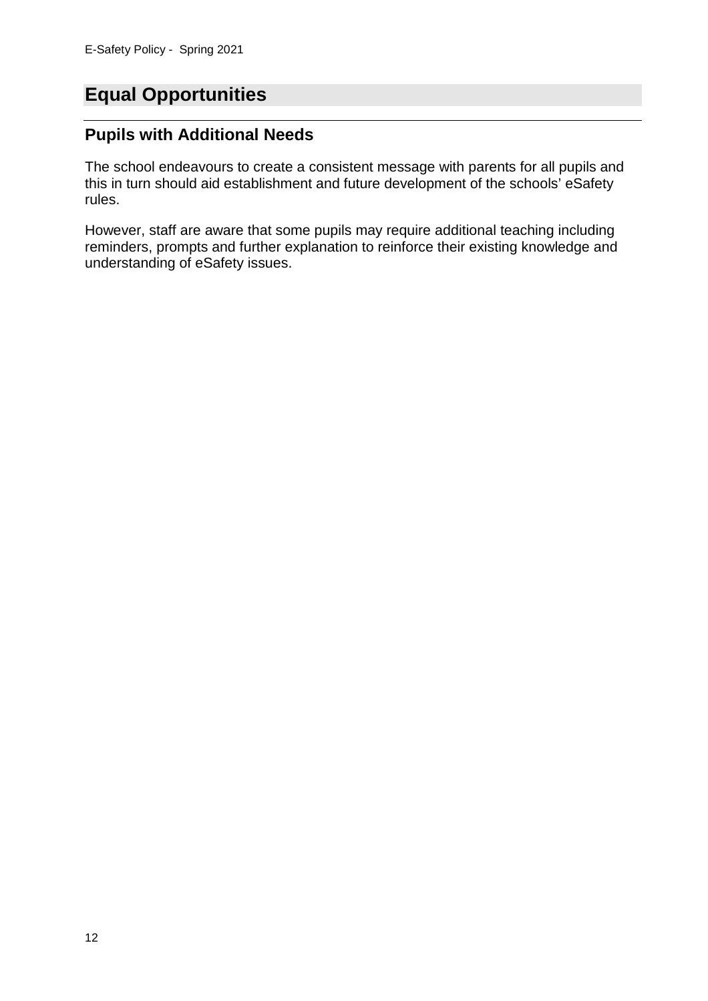# **Equal Opportunities**

## **Pupils with Additional Needs**

The school endeavours to create a consistent message with parents for all pupils and this in turn should aid establishment and future development of the schools' eSafety rules.

However, staff are aware that some pupils may require additional teaching including reminders, prompts and further explanation to reinforce their existing knowledge and understanding of eSafety issues.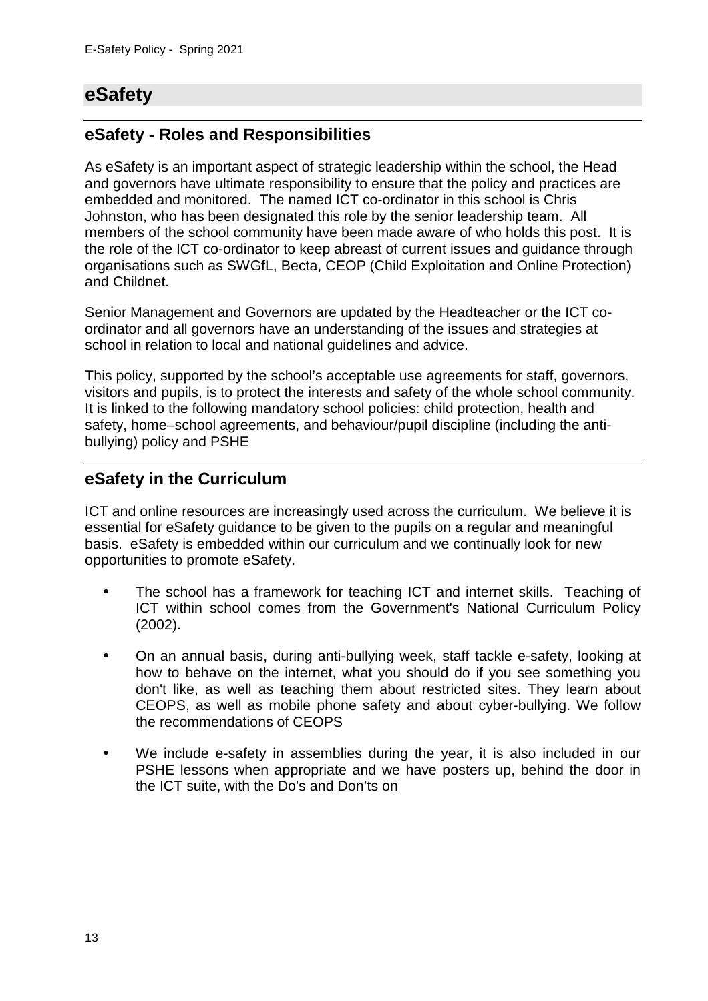# **eSafety**

## **eSafety - Roles and Responsibilities**

As eSafety is an important aspect of strategic leadership within the school, the Head and governors have ultimate responsibility to ensure that the policy and practices are embedded and monitored. The named ICT co-ordinator in this school is Chris Johnston, who has been designated this role by the senior leadership team. All members of the school community have been made aware of who holds this post. It is the role of the ICT co-ordinator to keep abreast of current issues and guidance through organisations such as SWGfL, Becta, CEOP (Child Exploitation and Online Protection) and Childnet.

Senior Management and Governors are updated by the Headteacher or the ICT coordinator and all governors have an understanding of the issues and strategies at school in relation to local and national guidelines and advice.

This policy, supported by the school's acceptable use agreements for staff, governors, visitors and pupils, is to protect the interests and safety of the whole school community. It is linked to the following mandatory school policies: child protection, health and safety, home–school agreements, and behaviour/pupil discipline (including the antibullying) policy and PSHE

## **eSafety in the Curriculum**

ICT and online resources are increasingly used across the curriculum. We believe it is essential for eSafety guidance to be given to the pupils on a regular and meaningful basis. eSafety is embedded within our curriculum and we continually look for new opportunities to promote eSafety.

- The school has a framework for teaching ICT and internet skills. Teaching of ICT within school comes from the Government's National Curriculum Policy (2002).
- On an annual basis, during anti-bullying week, staff tackle e-safety, looking at how to behave on the internet, what you should do if you see something you don't like, as well as teaching them about restricted sites. They learn about CEOPS, as well as mobile phone safety and about cyber-bullying. We follow the recommendations of CEOPS
- We include e-safety in assemblies during the year, it is also included in our PSHE lessons when appropriate and we have posters up, behind the door in the ICT suite, with the Do's and Don'ts on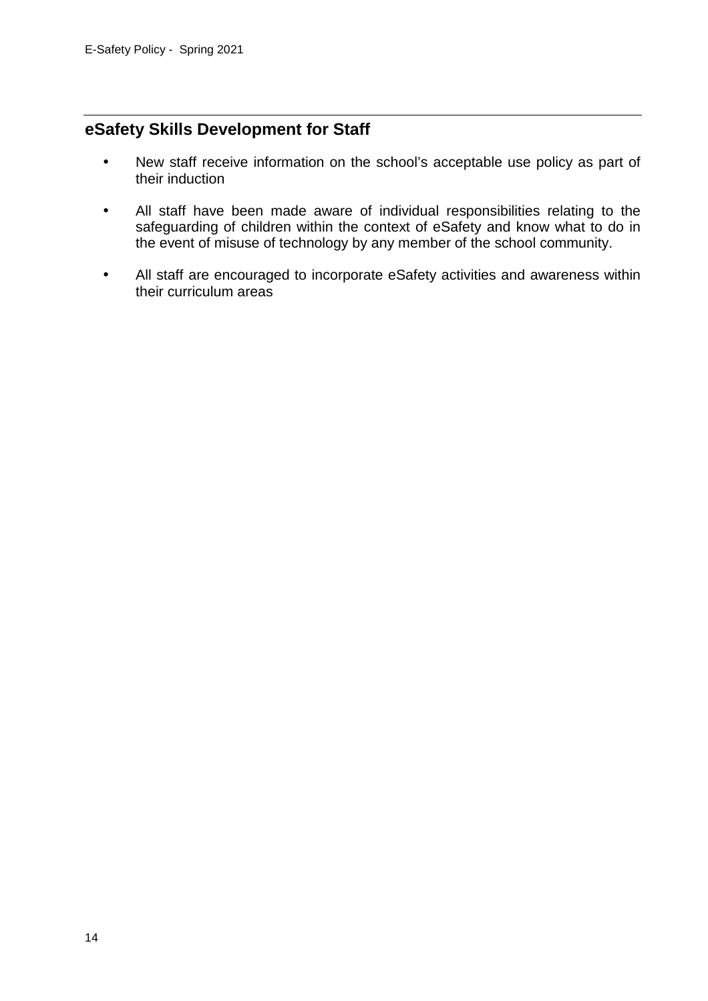## **eSafety Skills Development for Staff**

- New staff receive information on the school's acceptable use policy as part of their induction
- All staff have been made aware of individual responsibilities relating to the safeguarding of children within the context of eSafety and know what to do in the event of misuse of technology by any member of the school community.
- All staff are encouraged to incorporate eSafety activities and awareness within their curriculum areas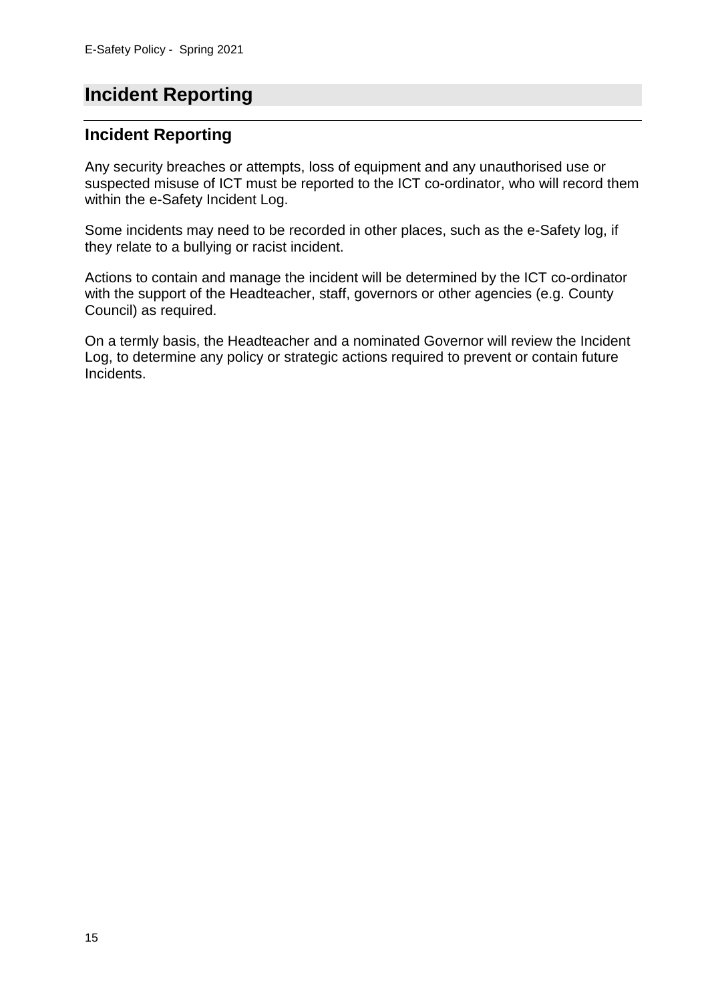# **Incident Reporting**

### **Incident Reporting**

Any security breaches or attempts, loss of equipment and any unauthorised use or suspected misuse of ICT must be reported to the ICT co-ordinator, who will record them within the e-Safety Incident Log.

Some incidents may need to be recorded in other places, such as the e-Safety log, if they relate to a bullying or racist incident.

Actions to contain and manage the incident will be determined by the ICT co-ordinator with the support of the Headteacher, staff, governors or other agencies (e.g. County Council) as required.

On a termly basis, the Headteacher and a nominated Governor will review the Incident Log, to determine any policy or strategic actions required to prevent or contain future Incidents.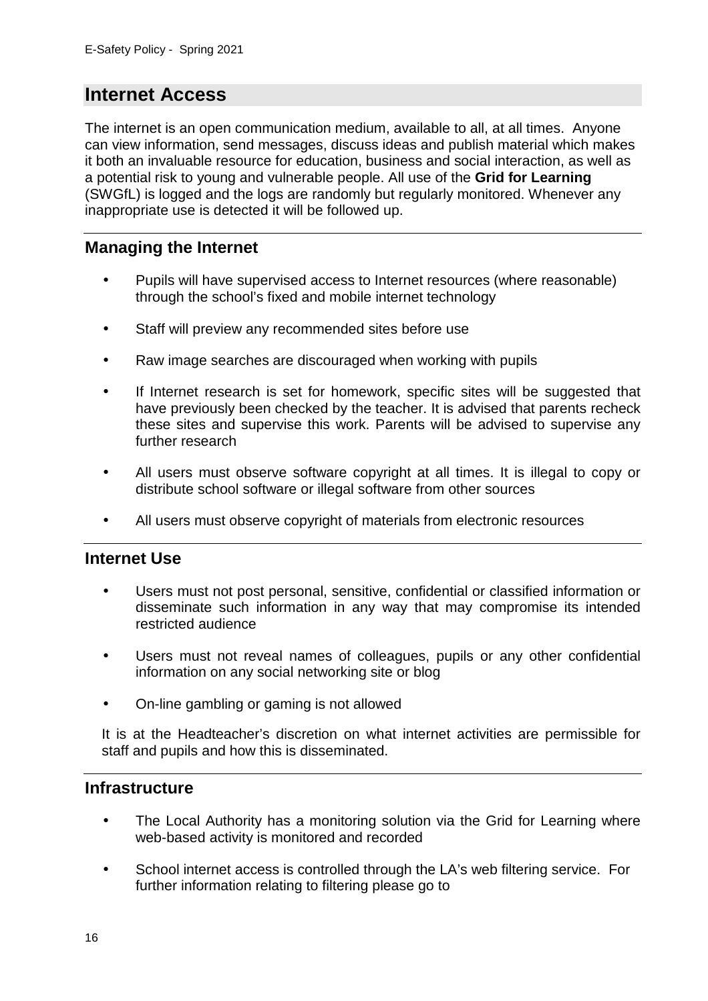# **Internet Access**

The internet is an open communication medium, available to all, at all times. Anyone can view information, send messages, discuss ideas and publish material which makes it both an invaluable resource for education, business and social interaction, as well as a potential risk to young and vulnerable people. All use of the **Grid for Learning** (SWGfL) is logged and the logs are randomly but regularly monitored. Whenever any inappropriate use is detected it will be followed up.

## **Managing the Internet**

- Pupils will have supervised access to Internet resources (where reasonable) through the school's fixed and mobile internet technology
- Staff will preview any recommended sites before use
- Raw image searches are discouraged when working with pupils
- If Internet research is set for homework, specific sites will be suggested that have previously been checked by the teacher. It is advised that parents recheck these sites and supervise this work. Parents will be advised to supervise any further research
- All users must observe software copyright at all times. It is illegal to copy or distribute school software or illegal software from other sources
- All users must observe copyright of materials from electronic resources

### **Internet Use**

- Users must not post personal, sensitive, confidential or classified information or disseminate such information in any way that may compromise its intended restricted audience
- Users must not reveal names of colleagues, pupils or any other confidential information on any social networking site or blog
- On-line gambling or gaming is not allowed

It is at the Headteacher's discretion on what internet activities are permissible for staff and pupils and how this is disseminated.

### **Infrastructure**

- The Local Authority has a monitoring solution via the Grid for Learning where web-based activity is monitored and recorded
- School internet access is controlled through the LA's web filtering service. For further information relating to filtering please go to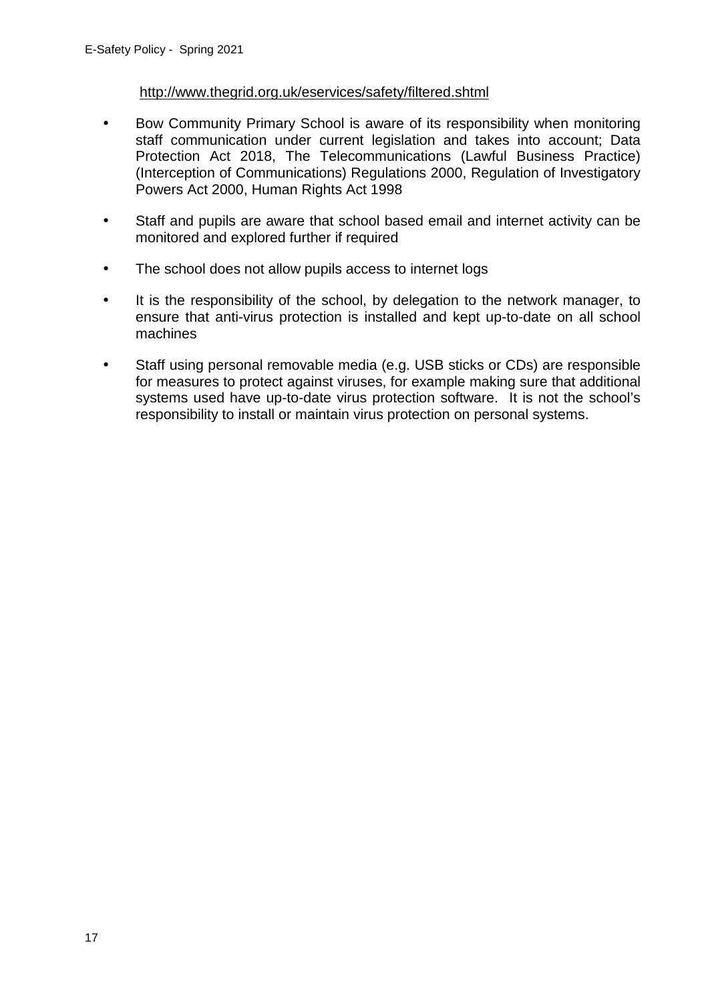### http://www.thegrid.org.uk/eservices/safety/filtered.shtml

- Bow Community Primary School is aware of its responsibility when monitoring staff communication under current legislation and takes into account; Data Protection Act 2018, The Telecommunications (Lawful Business Practice) (Interception of Communications) Regulations 2000, Regulation of Investigatory Powers Act 2000, Human Rights Act 1998
- Staff and pupils are aware that school based email and internet activity can be monitored and explored further if required
- The school does not allow pupils access to internet logs
- It is the responsibility of the school, by delegation to the network manager, to ensure that anti-virus protection is installed and kept up-to-date on all school machines
- Staff using personal removable media (e.g. USB sticks or CDs) are responsible for measures to protect against viruses, for example making sure that additional systems used have up-to-date virus protection software. It is not the school's responsibility to install or maintain virus protection on personal systems.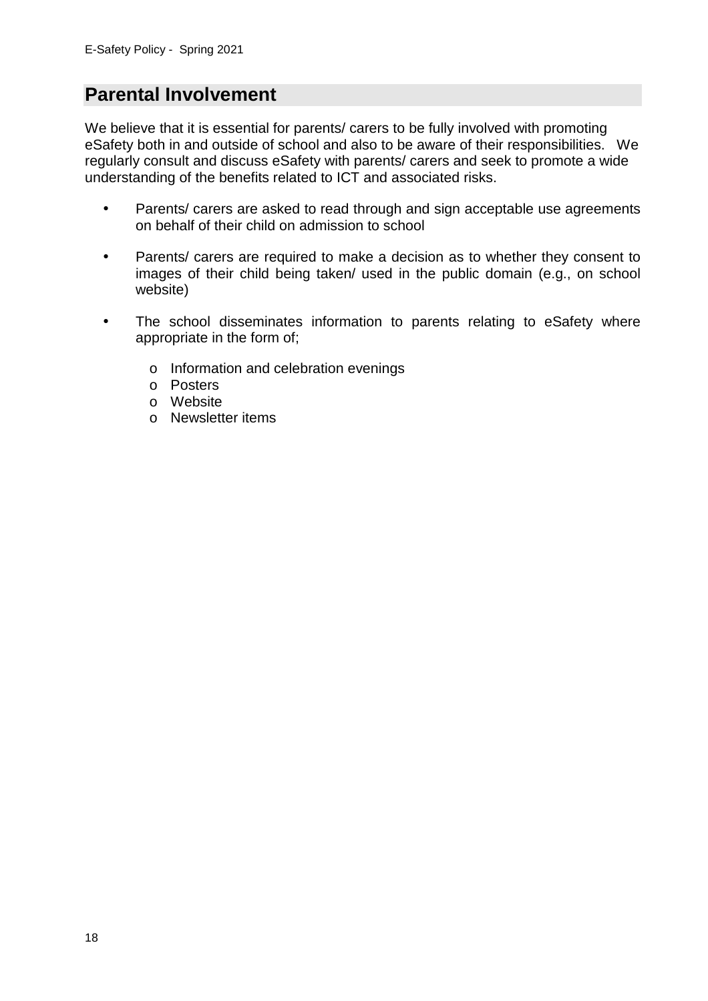## **Parental Involvement**

We believe that it is essential for parents/ carers to be fully involved with promoting eSafety both in and outside of school and also to be aware of their responsibilities. We regularly consult and discuss eSafety with parents/ carers and seek to promote a wide understanding of the benefits related to ICT and associated risks.

- Parents/ carers are asked to read through and sign acceptable use agreements on behalf of their child on admission to school
- Parents/ carers are required to make a decision as to whether they consent to images of their child being taken/ used in the public domain (e.g., on school website)
- The school disseminates information to parents relating to eSafety where appropriate in the form of;
	- o Information and celebration evenings
	- o Posters
	- o Website
	- o Newsletter items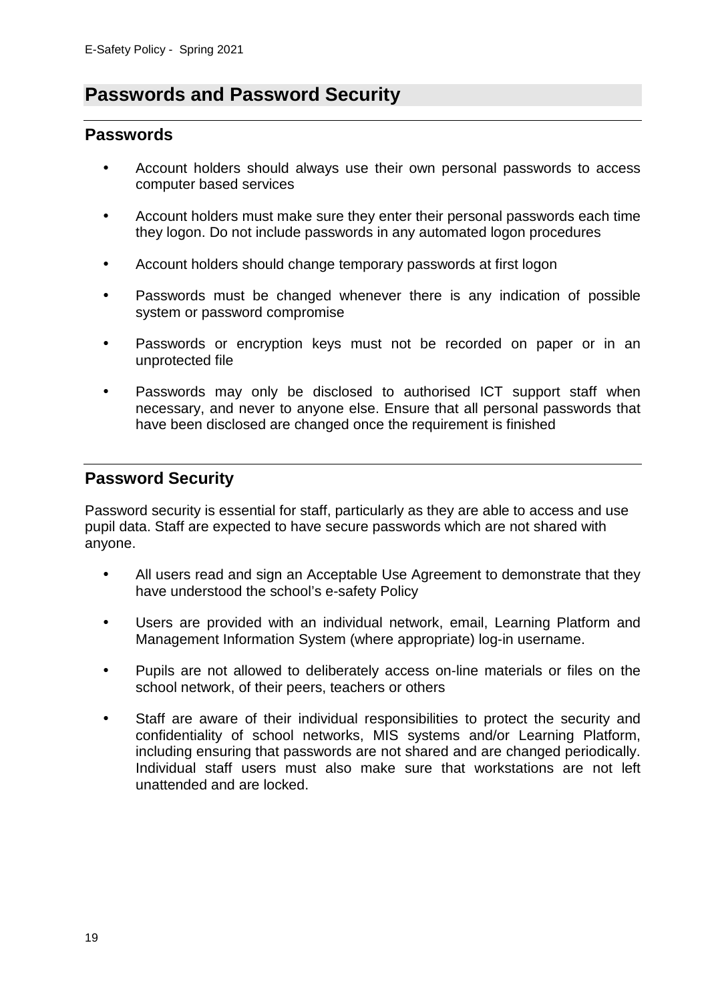## **Passwords and Password Security**

### **Passwords**

- Account holders should always use their own personal passwords to access computer based services
- Account holders must make sure they enter their personal passwords each time they logon. Do not include passwords in any automated logon procedures
- Account holders should change temporary passwords at first logon
- Passwords must be changed whenever there is any indication of possible system or password compromise
- Passwords or encryption keys must not be recorded on paper or in an unprotected file
- Passwords may only be disclosed to authorised ICT support staff when necessary, and never to anyone else. Ensure that all personal passwords that have been disclosed are changed once the requirement is finished

### **Password Security**

Password security is essential for staff, particularly as they are able to access and use pupil data. Staff are expected to have secure passwords which are not shared with anyone.

- All users read and sign an Acceptable Use Agreement to demonstrate that they have understood the school's e-safety Policy
- Users are provided with an individual network, email, Learning Platform and Management Information System (where appropriate) log-in username.
- Pupils are not allowed to deliberately access on-line materials or files on the school network, of their peers, teachers or others
- Staff are aware of their individual responsibilities to protect the security and confidentiality of school networks, MIS systems and/or Learning Platform, including ensuring that passwords are not shared and are changed periodically. Individual staff users must also make sure that workstations are not left unattended and are locked.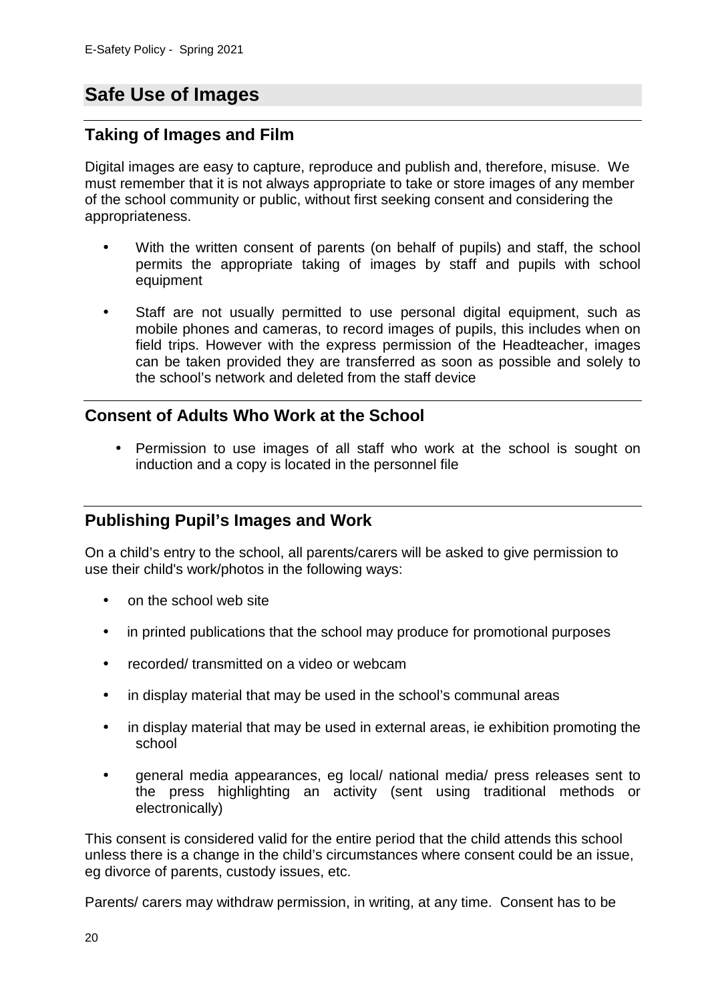# **Safe Use of Images**

### **Taking of Images and Film**

Digital images are easy to capture, reproduce and publish and, therefore, misuse. We must remember that it is not always appropriate to take or store images of any member of the school community or public, without first seeking consent and considering the appropriateness.

- With the written consent of parents (on behalf of pupils) and staff, the school permits the appropriate taking of images by staff and pupils with school equipment
- Staff are not usually permitted to use personal digital equipment, such as mobile phones and cameras, to record images of pupils, this includes when on field trips. However with the express permission of the Headteacher, images can be taken provided they are transferred as soon as possible and solely to the school's network and deleted from the staff device

### **Consent of Adults Who Work at the School**

• Permission to use images of all staff who work at the school is sought on induction and a copy is located in the personnel file

### **Publishing Pupil's Images and Work**

On a child's entry to the school, all parents/carers will be asked to give permission to use their child's work/photos in the following ways:

- on the school web site
- in printed publications that the school may produce for promotional purposes
- recorded/ transmitted on a video or webcam
- in display material that may be used in the school's communal areas
- in display material that may be used in external areas, ie exhibition promoting the school
- general media appearances, eg local/ national media/ press releases sent to the press highlighting an activity (sent using traditional methods or electronically)

This consent is considered valid for the entire period that the child attends this school unless there is a change in the child's circumstances where consent could be an issue, eg divorce of parents, custody issues, etc.

Parents/ carers may withdraw permission, in writing, at any time. Consent has to be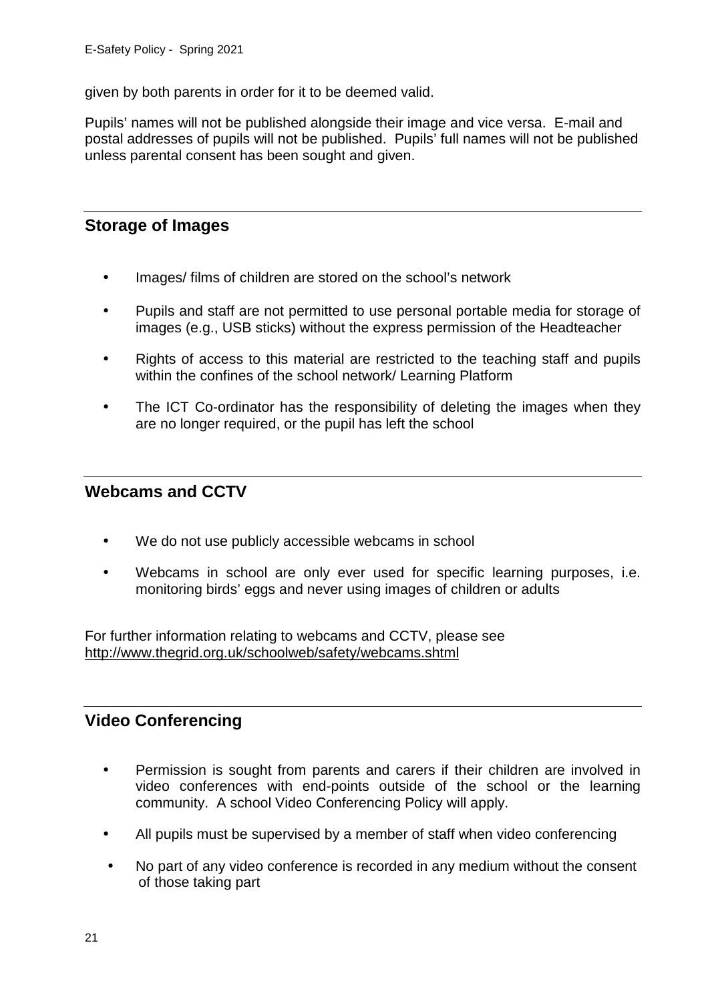given by both parents in order for it to be deemed valid.

Pupils' names will not be published alongside their image and vice versa. E-mail and postal addresses of pupils will not be published. Pupils' full names will not be published unless parental consent has been sought and given.

## **Storage of Images**

- Images/ films of children are stored on the school's network
- Pupils and staff are not permitted to use personal portable media for storage of images (e.g., USB sticks) without the express permission of the Headteacher
- Rights of access to this material are restricted to the teaching staff and pupils within the confines of the school network/ Learning Platform
- The ICT Co-ordinator has the responsibility of deleting the images when they are no longer required, or the pupil has left the school

### **Webcams and CCTV**

- We do not use publicly accessible webcams in school
- Webcams in school are only ever used for specific learning purposes, i.e. monitoring birds' eggs and never using images of children or adults

For further information relating to webcams and CCTV, please see http://www.thegrid.org.uk/schoolweb/safety/webcams.shtml

### **Video Conferencing**

- Permission is sought from parents and carers if their children are involved in video conferences with end-points outside of the school or the learning community. A school Video Conferencing Policy will apply.
- All pupils must be supervised by a member of staff when video conferencing
- No part of any video conference is recorded in any medium without the consent of those taking part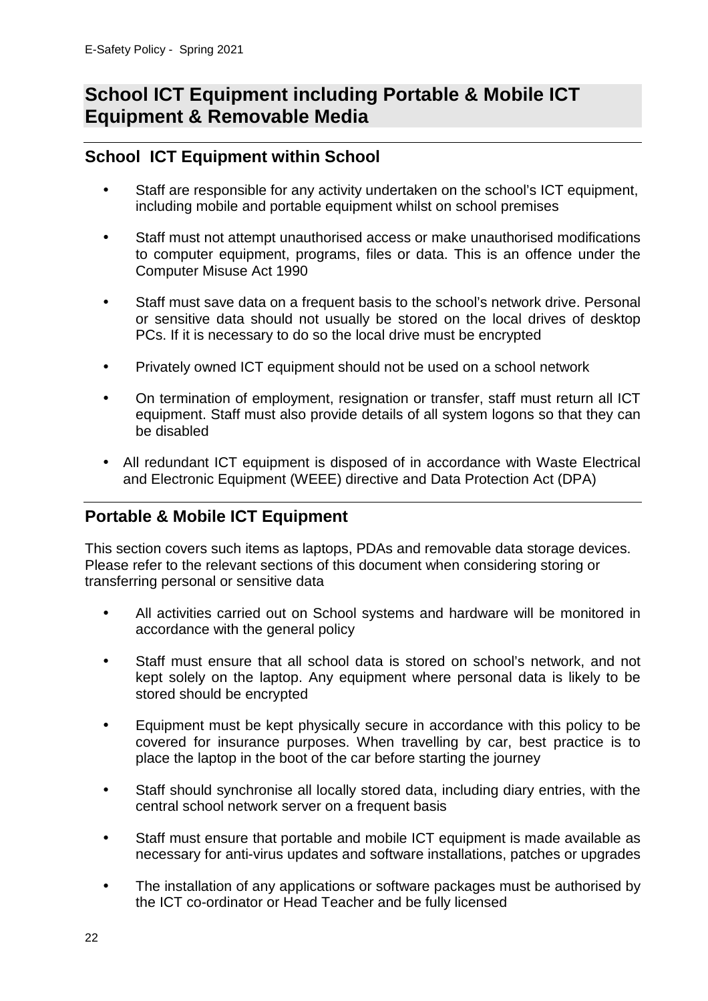## **School ICT Equipment including Portable & Mobile ICT Equipment & Removable Media**

## **School ICT Equipment within School**

- Staff are responsible for any activity undertaken on the school's ICT equipment, including mobile and portable equipment whilst on school premises
- Staff must not attempt unauthorised access or make unauthorised modifications to computer equipment, programs, files or data. This is an offence under the Computer Misuse Act 1990
- Staff must save data on a frequent basis to the school's network drive. Personal or sensitive data should not usually be stored on the local drives of desktop PCs. If it is necessary to do so the local drive must be encrypted
- Privately owned ICT equipment should not be used on a school network
- On termination of employment, resignation or transfer, staff must return all ICT equipment. Staff must also provide details of all system logons so that they can be disabled
- All redundant ICT equipment is disposed of in accordance with Waste Electrical and Electronic Equipment (WEEE) directive and Data Protection Act (DPA)

## **Portable & Mobile ICT Equipment**

This section covers such items as laptops, PDAs and removable data storage devices. Please refer to the relevant sections of this document when considering storing or transferring personal or sensitive data

- All activities carried out on School systems and hardware will be monitored in accordance with the general policy
- Staff must ensure that all school data is stored on school's network, and not kept solely on the laptop. Any equipment where personal data is likely to be stored should be encrypted
- Equipment must be kept physically secure in accordance with this policy to be covered for insurance purposes. When travelling by car, best practice is to place the laptop in the boot of the car before starting the journey
- Staff should synchronise all locally stored data, including diary entries, with the central school network server on a frequent basis
- Staff must ensure that portable and mobile ICT equipment is made available as necessary for anti-virus updates and software installations, patches or upgrades
- The installation of any applications or software packages must be authorised by the ICT co-ordinator or Head Teacher and be fully licensed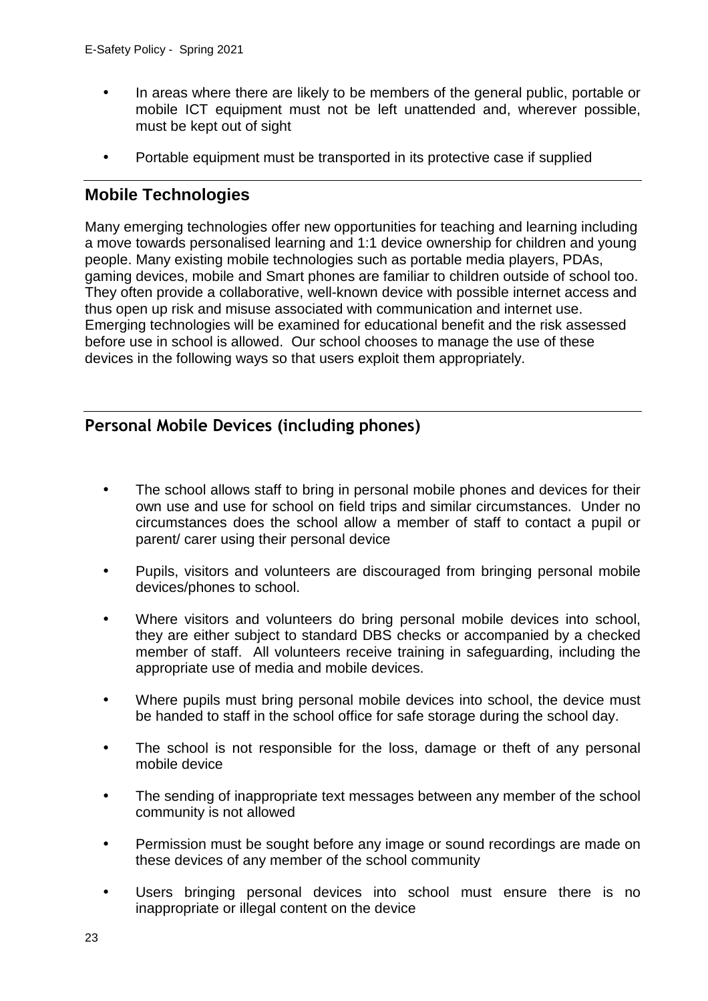- In areas where there are likely to be members of the general public, portable or mobile ICT equipment must not be left unattended and, wherever possible, must be kept out of sight
- Portable equipment must be transported in its protective case if supplied

## **Mobile Technologies**

Many emerging technologies offer new opportunities for teaching and learning including a move towards personalised learning and 1:1 device ownership for children and young people. Many existing mobile technologies such as portable media players, PDAs, gaming devices, mobile and Smart phones are familiar to children outside of school too. They often provide a collaborative, well-known device with possible internet access and thus open up risk and misuse associated with communication and internet use. Emerging technologies will be examined for educational benefit and the risk assessed before use in school is allowed. Our school chooses to manage the use of these devices in the following ways so that users exploit them appropriately.

## **Personal Mobile Devices (including phones)**

- The school allows staff to bring in personal mobile phones and devices for their own use and use for school on field trips and similar circumstances. Under no circumstances does the school allow a member of staff to contact a pupil or parent/ carer using their personal device
- Pupils, visitors and volunteers are discouraged from bringing personal mobile devices/phones to school.
- Where visitors and volunteers do bring personal mobile devices into school, they are either subject to standard DBS checks or accompanied by a checked member of staff. All volunteers receive training in safeguarding, including the appropriate use of media and mobile devices.
- Where pupils must bring personal mobile devices into school, the device must be handed to staff in the school office for safe storage during the school day.
- The school is not responsible for the loss, damage or theft of any personal mobile device
- The sending of inappropriate text messages between any member of the school community is not allowed
- Permission must be sought before any image or sound recordings are made on these devices of any member of the school community
- Users bringing personal devices into school must ensure there is no inappropriate or illegal content on the device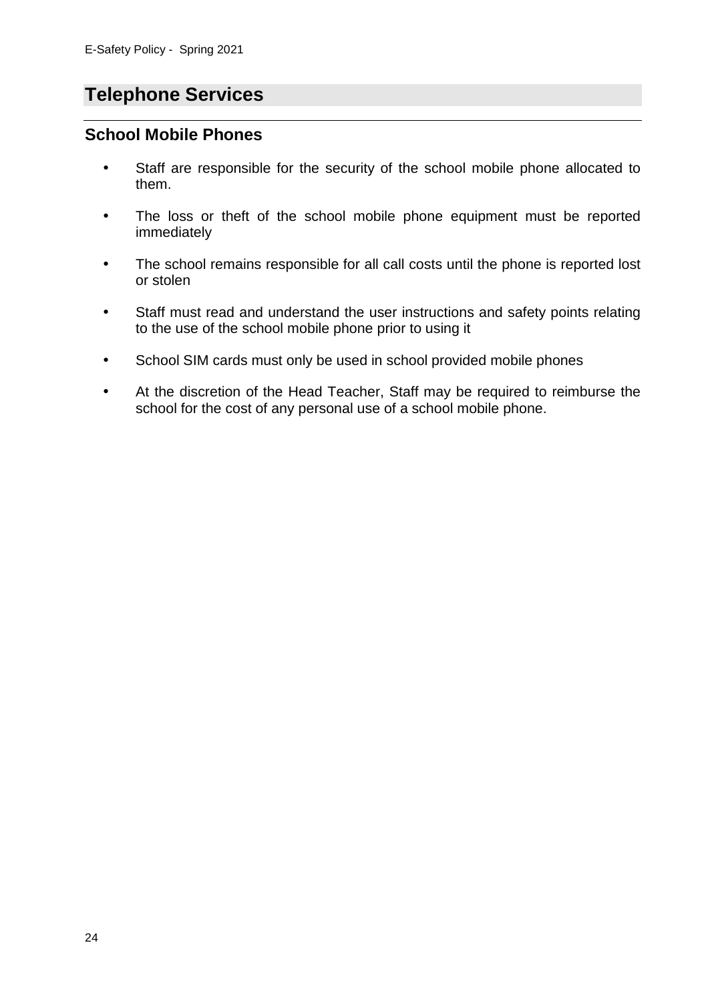# **Telephone Services**

### **School Mobile Phones**

- Staff are responsible for the security of the school mobile phone allocated to them.
- The loss or theft of the school mobile phone equipment must be reported immediately
- The school remains responsible for all call costs until the phone is reported lost or stolen
- Staff must read and understand the user instructions and safety points relating to the use of the school mobile phone prior to using it
- School SIM cards must only be used in school provided mobile phones
- At the discretion of the Head Teacher, Staff may be required to reimburse the school for the cost of any personal use of a school mobile phone.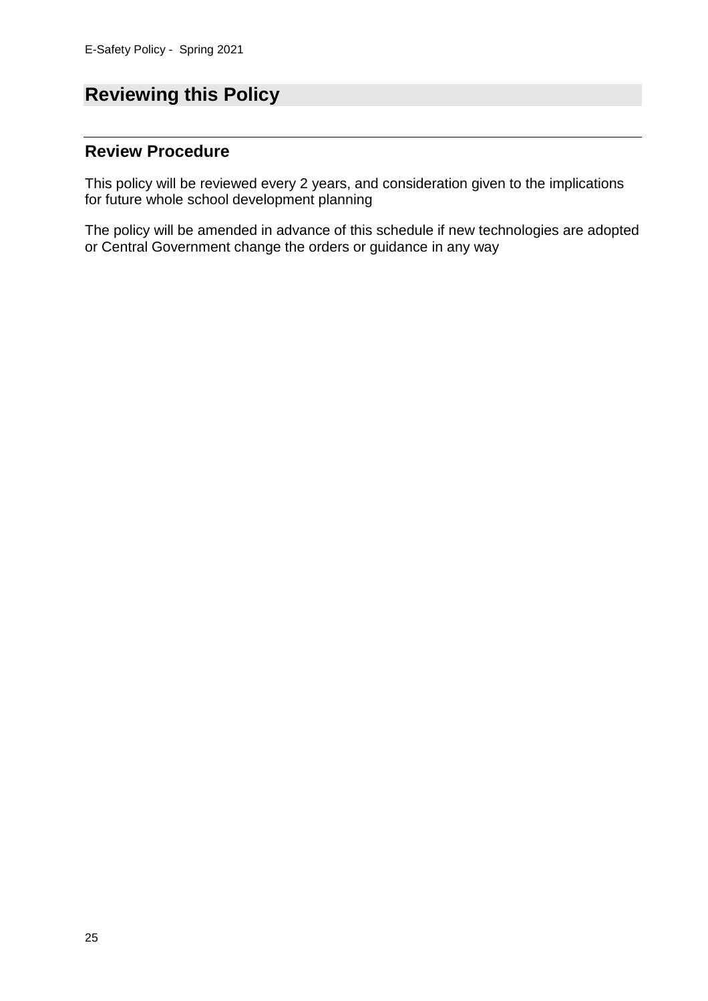# **Reviewing this Policy**

## **Review Procedure**

This policy will be reviewed every 2 years, and consideration given to the implications for future whole school development planning

The policy will be amended in advance of this schedule if new technologies are adopted or Central Government change the orders or guidance in any way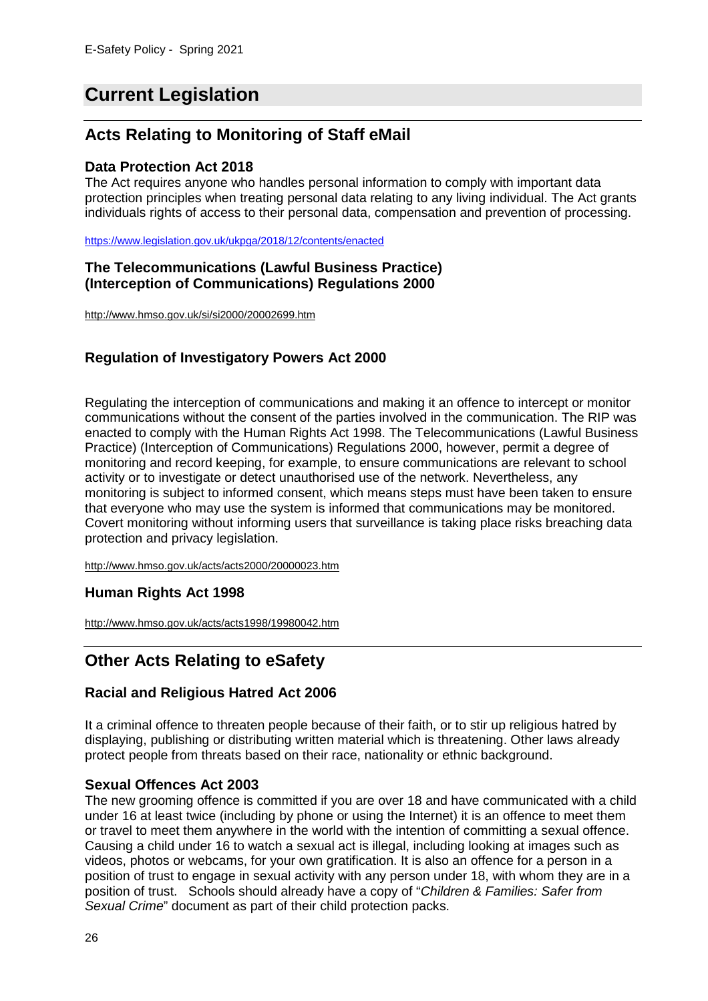# **Current Legislation**

## **Acts Relating to Monitoring of Staff eMail**

#### **Data Protection Act 2018**

The Act requires anyone who handles personal information to comply with important data protection principles when treating personal data relating to any living individual. The Act grants individuals rights of access to their personal data, compensation and prevention of processing.

https://www.legislation.gov.uk/ukpga/2018/12/contents/enacted

#### **The Telecommunications (Lawful Business Practice) (Interception of Communications) Regulations 2000**

http://www.hmso.gov.uk/si/si2000/20002699.htm

### **Regulation of Investigatory Powers Act 2000**

Regulating the interception of communications and making it an offence to intercept or monitor communications without the consent of the parties involved in the communication. The RIP was enacted to comply with the Human Rights Act 1998. The Telecommunications (Lawful Business Practice) (Interception of Communications) Regulations 2000, however, permit a degree of monitoring and record keeping, for example, to ensure communications are relevant to school activity or to investigate or detect unauthorised use of the network. Nevertheless, any monitoring is subject to informed consent, which means steps must have been taken to ensure that everyone who may use the system is informed that communications may be monitored. Covert monitoring without informing users that surveillance is taking place risks breaching data protection and privacy legislation.

http://www.hmso.gov.uk/acts/acts2000/20000023.htm

### **Human Rights Act 1998**

http://www.hmso.gov.uk/acts/acts1998/19980042.htm

## **Other Acts Relating to eSafety**

### **Racial and Religious Hatred Act 2006**

It a criminal offence to threaten people because of their faith, or to stir up religious hatred by displaying, publishing or distributing written material which is threatening. Other laws already protect people from threats based on their race, nationality or ethnic background.

### **Sexual Offences Act 2003**

The new grooming offence is committed if you are over 18 and have communicated with a child under 16 at least twice (including by phone or using the Internet) it is an offence to meet them or travel to meet them anywhere in the world with the intention of committing a sexual offence. Causing a child under 16 to watch a sexual act is illegal, including looking at images such as videos, photos or webcams, for your own gratification. It is also an offence for a person in a position of trust to engage in sexual activity with any person under 18, with whom they are in a position of trust. Schools should already have a copy of "Children & Families: Safer from Sexual Crime" document as part of their child protection packs.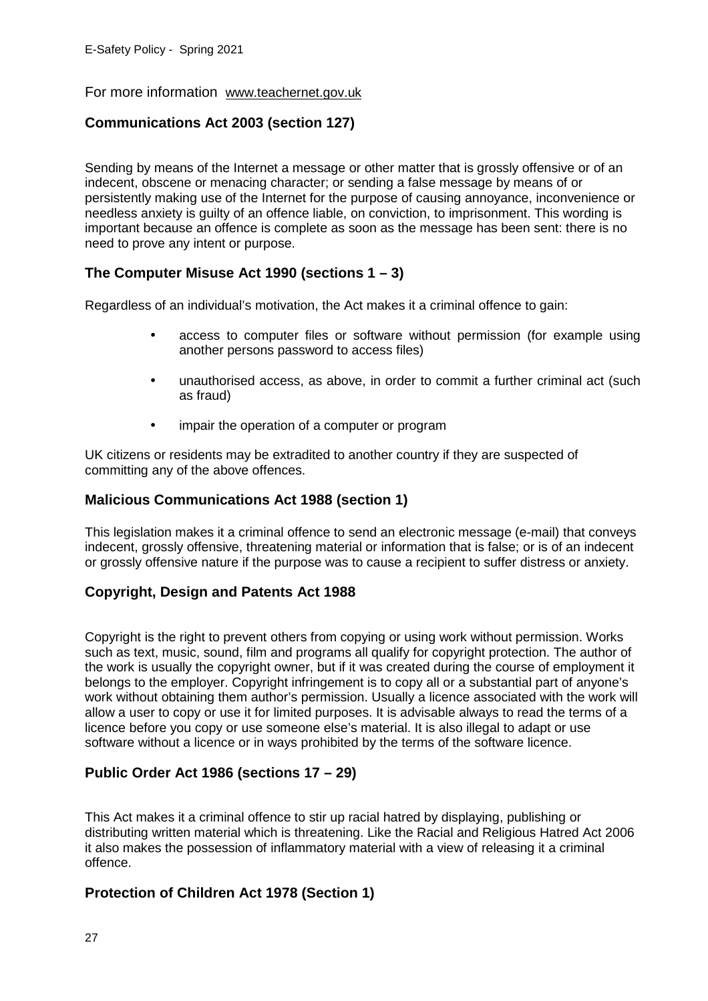#### For more information www.teachernet.gov.uk

### **Communications Act 2003 (section 127)**

Sending by means of the Internet a message or other matter that is grossly offensive or of an indecent, obscene or menacing character; or sending a false message by means of or persistently making use of the Internet for the purpose of causing annoyance, inconvenience or needless anxiety is guilty of an offence liable, on conviction, to imprisonment. This wording is important because an offence is complete as soon as the message has been sent: there is no need to prove any intent or purpose.

### **The Computer Misuse Act 1990 (sections 1 – 3)**

Regardless of an individual's motivation, the Act makes it a criminal offence to gain:

- access to computer files or software without permission (for example using another persons password to access files)
- unauthorised access, as above, in order to commit a further criminal act (such as fraud)
- impair the operation of a computer or program

UK citizens or residents may be extradited to another country if they are suspected of committing any of the above offences.

#### **Malicious Communications Act 1988 (section 1)**

This legislation makes it a criminal offence to send an electronic message (e-mail) that conveys indecent, grossly offensive, threatening material or information that is false; or is of an indecent or grossly offensive nature if the purpose was to cause a recipient to suffer distress or anxiety.

### **Copyright, Design and Patents Act 1988**

Copyright is the right to prevent others from copying or using work without permission. Works such as text, music, sound, film and programs all qualify for copyright protection. The author of the work is usually the copyright owner, but if it was created during the course of employment it belongs to the employer. Copyright infringement is to copy all or a substantial part of anyone's work without obtaining them author's permission. Usually a licence associated with the work will allow a user to copy or use it for limited purposes. It is advisable always to read the terms of a licence before you copy or use someone else's material. It is also illegal to adapt or use software without a licence or in ways prohibited by the terms of the software licence.

### **Public Order Act 1986 (sections 17 – 29)**

This Act makes it a criminal offence to stir up racial hatred by displaying, publishing or distributing written material which is threatening. Like the Racial and Religious Hatred Act 2006 it also makes the possession of inflammatory material with a view of releasing it a criminal offence.

### **Protection of Children Act 1978 (Section 1)**